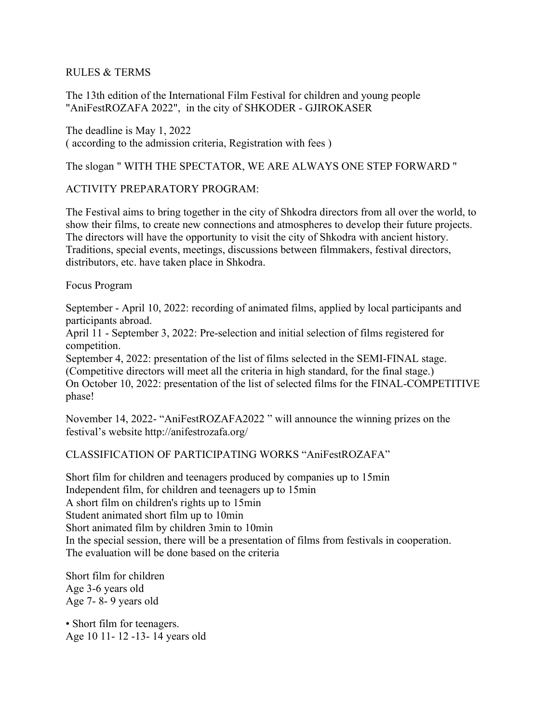#### RULES & TERMS

The 13th edition of the International Film Festival for children and young people "AniFestROZAFA 2022", in the city of SHKODER - GJIROKASER

The deadline is May 1, 2022 ( according to the admission criteria, Registration with fees )

#### The slogan " WITH THE SPECTATOR, WE ARE ALWAYS ONE STEP FORWARD "

#### ACTIVITY PREPARATORY PROGRAM:

The Festival aims to bring together in the city of Shkodra directors from all over the world, to show their films, to create new connections and atmospheres to develop their future projects. The directors will have the opportunity to visit the city of Shkodra with ancient history. Traditions, special events, meetings, discussions between filmmakers, festival directors, distributors, etc. have taken place in Shkodra.

Focus Program

September - April 10, 2022: recording of animated films, applied by local participants and participants abroad.

April 11 - September 3, 2022: Pre-selection and initial selection of films registered for competition.

September 4, 2022: presentation of the list of films selected in the SEMI-FINAL stage. (Competitive directors will meet all the criteria in high standard, for the final stage.) On October 10, 2022: presentation of the list of selected films for the FINAL-COMPETITIVE phase!

November 14, 2022- "AniFestROZAFA2022 " will announce the winning prizes on the festival's website http://anifestrozafa.org/

### CLASSIFICATION OF PARTICIPATING WORKS "AniFestROZAFA"

Short film for children and teenagers produced by companies up to 15min Independent film, for children and teenagers up to 15min A short film on children's rights up to 15min Student animated short film up to 10min Short animated film by children 3min to 10min In the special session, there will be a presentation of films from festivals in cooperation. The evaluation will be done based on the criteria

Short film for children Age 3-6 years old Age 7- 8- 9 years old

• Short film for teenagers. Age 10 11- 12 -13- 14 years old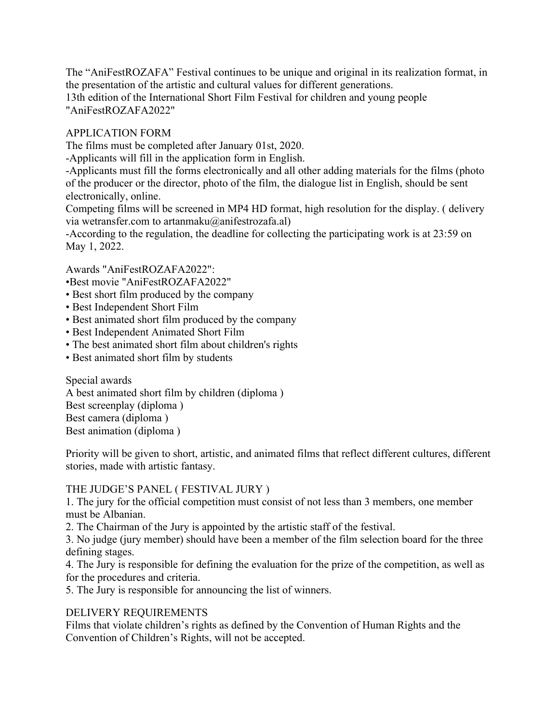The "AniFestROZAFA" Festival continues to be unique and original in its realization format, in the presentation of the artistic and cultural values for different generations. 13th edition of the International Short Film Festival for children and young people "AniFestROZAFA2022"

### APPLICATION FORM

The films must be completed after January 01st, 2020.

-Applicants will fill in the application form in English.

-Applicants must fill the forms electronically and all other adding materials for the films (photo of the producer or the director, photo of the film, the dialogue list in English, should be sent electronically, online.

Competing films will be screened in MP4 HD format, high resolution for the display. ( delivery via wetransfer.com to artanmaku@anifestrozafa.al)

-According to the regulation, the deadline for collecting the participating work is at 23:59 on May 1, 2022.

Awards "AniFestROZAFA2022":

•Best movie "AniFestROZAFA2022"

- Best short film produced by the company
- Best Independent Short Film
- Best animated short film produced by the company
- Best Independent Animated Short Film
- The best animated short film about children's rights
- Best animated short film by students

Special awards A best animated short film by children (diploma ) Best screenplay (diploma ) Best camera (diploma ) Best animation (diploma )

Priority will be given to short, artistic, and animated films that reflect different cultures, different stories, made with artistic fantasy.

#### THE JUDGE'S PANEL ( FESTIVAL JURY )

1. The jury for the official competition must consist of not less than 3 members, one member must be Albanian.

2. The Chairman of the Jury is appointed by the artistic staff of the festival.

3. No judge (jury member) should have been a member of the film selection board for the three defining stages.

4. The Jury is responsible for defining the evaluation for the prize of the competition, as well as for the procedures and criteria.

5. The Jury is responsible for announcing the list of winners.

### DELIVERY REQUIREMENTS

Films that violate children's rights as defined by the Convention of Human Rights and the Convention of Children's Rights, will not be accepted.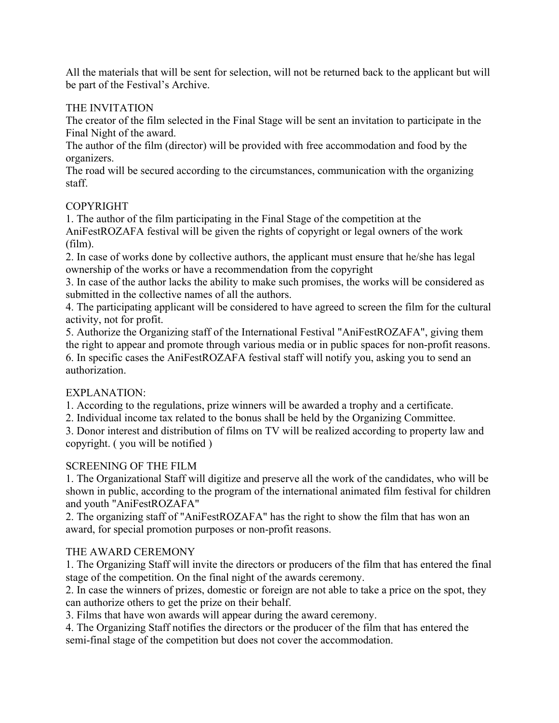All the materials that will be sent for selection, will not be returned back to the applicant but will be part of the Festival's Archive.

### THE INVITATION

The creator of the film selected in the Final Stage will be sent an invitation to participate in the Final Night of the award.

The author of the film (director) will be provided with free accommodation and food by the organizers.

The road will be secured according to the circumstances, communication with the organizing staff.

## COPYRIGHT

1. The author of the film participating in the Final Stage of the competition at the AniFestROZAFA festival will be given the rights of copyright or legal owners of the work (film).

2. In case of works done by collective authors, the applicant must ensure that he/she has legal ownership of the works or have a recommendation from the copyright

3. In case of the author lacks the ability to make such promises, the works will be considered as submitted in the collective names of all the authors.

4. The participating applicant will be considered to have agreed to screen the film for the cultural activity, not for profit.

5. Authorize the Organizing staff of the International Festival "AniFestROZAFA", giving them the right to appear and promote through various media or in public spaces for non-profit reasons. 6. In specific cases the AniFestROZAFA festival staff will notify you, asking you to send an authorization.

# EXPLANATION:

1. According to the regulations, prize winners will be awarded a trophy and a certificate.

2. Individual income tax related to the bonus shall be held by the Organizing Committee.

3. Donor interest and distribution of films on TV will be realized according to property law and copyright. ( you will be notified )

# SCREENING OF THE FILM

1. The Organizational Staff will digitize and preserve all the work of the candidates, who will be shown in public, according to the program of the international animated film festival for children and youth "AniFestROZAFA"

2. The organizing staff of "AniFestROZAFA" has the right to show the film that has won an award, for special promotion purposes or non-profit reasons.

# THE AWARD CEREMONY

1. The Organizing Staff will invite the directors or producers of the film that has entered the final stage of the competition. On the final night of the awards ceremony.

2. In case the winners of prizes, domestic or foreign are not able to take a price on the spot, they can authorize others to get the prize on their behalf.

3. Films that have won awards will appear during the award ceremony.

4. The Organizing Staff notifies the directors or the producer of the film that has entered the semi-final stage of the competition but does not cover the accommodation.